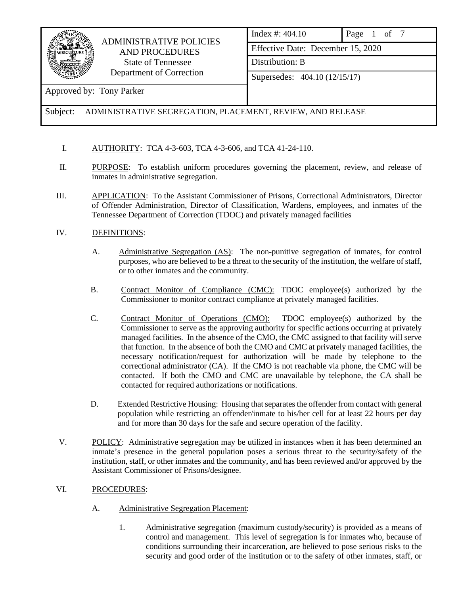

## ADMINISTRATIVE POLICIES AND PROCEDURES State of Tennessee Department of Correction

Index #: 404.10 Page 1 of 7 Effective Date: December 15, 2020 Distribution: B

Supersedes: 404.10 (12/15/17)

Approved by: Tony Parker

Subject: ADMINISTRATIVE SEGREGATION, PLACEMENT, REVIEW, AND RELEASE

- I. AUTHORITY: TCA 4-3-603, TCA 4-3-606, and TCA 41-24-110.
- II. PURPOSE: To establish uniform procedures governing the placement, review, and release of inmates in administrative segregation.
- III. APPLICATION: To the Assistant Commissioner of Prisons, Correctional Administrators, Director of Offender Administration, Director of Classification, Wardens, employees, and inmates of the Tennessee Department of Correction (TDOC) and privately managed facilities
- IV. DEFINITIONS:
	- A. Administrative Segregation (AS): The non-punitive segregation of inmates, for control purposes, who are believed to be a threat to the security of the institution, the welfare of staff, or to other inmates and the community.
	- B. Contract Monitor of Compliance (CMC): TDOC employee(s) authorized by the Commissioner to monitor contract compliance at privately managed facilities.
	- C. Contract Monitor of Operations (CMO): TDOC employee(s) authorized by the Commissioner to serve as the approving authority for specific actions occurring at privately managed facilities. In the absence of the CMO, the CMC assigned to that facility will serve that function. In the absence of both the CMO and CMC at privately managed facilities, the necessary notification/request for authorization will be made by telephone to the correctional administrator (CA). If the CMO is not reachable via phone, the CMC will be contacted. If both the CMO and CMC are unavailable by telephone, the CA shall be contacted for required authorizations or notifications.
	- D. Extended Restrictive Housing: Housing that separates the offender from contact with general population while restricting an offender/inmate to his/her cell for at least 22 hours per day and for more than 30 days for the safe and secure operation of the facility.
- V. POLICY: Administrative segregation may be utilized in instances when it has been determined an inmate's presence in the general population poses a serious threat to the security/safety of the institution, staff, or other inmates and the community, and has been reviewed and/or approved by the Assistant Commissioner of Prisons/designee.
- VI. PROCEDURES:
	- A. Administrative Segregation Placement:
		- 1. Administrative segregation (maximum custody/security) is provided as a means of control and management. This level of segregation is for inmates who, because of conditions surrounding their incarceration, are believed to pose serious risks to the security and good order of the institution or to the safety of other inmates, staff, or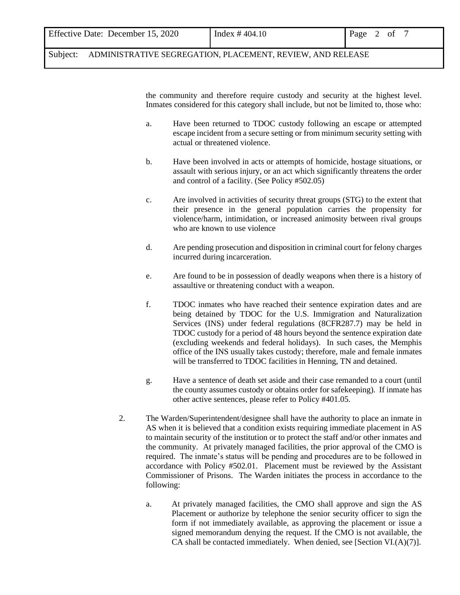| Effective Date: December 15, 2020 | Index $\#$ 404.10 | Page 2<br>of |  |
|-----------------------------------|-------------------|--------------|--|
|                                   |                   |              |  |

the community and therefore require custody and security at the highest level. Inmates considered for this category shall include, but not be limited to, those who:

- a. Have been returned to TDOC custody following an escape or attempted escape incident from a secure setting or from minimum security setting with actual or threatened violence.
- b. Have been involved in acts or attempts of homicide, hostage situations, or assault with serious injury, or an act which significantly threatens the order and control of a facility. (See Policy #502.05)
- c. Are involved in activities of security threat groups (STG) to the extent that their presence in the general population carries the propensity for violence/harm, intimidation, or increased animosity between rival groups who are known to use violence
- d. Are pending prosecution and disposition in criminal court for felony charges incurred during incarceration.
- e. Are found to be in possession of deadly weapons when there is a history of assaultive or threatening conduct with a weapon.
- f. TDOC inmates who have reached their sentence expiration dates and are being detained by TDOC for the U.S. Immigration and Naturalization Services (INS) under federal regulations (8CFR287.7) may be held in TDOC custody for a period of 48 hours beyond the sentence expiration date (excluding weekends and federal holidays). In such cases, the Memphis office of the INS usually takes custody; therefore, male and female inmates will be transferred to TDOC facilities in Henning, TN and detained.
- g. Have a sentence of death set aside and their case remanded to a court (until the county assumes custody or obtains order for safekeeping). If inmate has other active sentences, please refer to Policy #401.05.
- 2. The Warden/Superintendent/designee shall have the authority to place an inmate in AS when it is believed that a condition exists requiring immediate placement in AS to maintain security of the institution or to protect the staff and/or other inmates and the community. At privately managed facilities, the prior approval of the CMO is required. The inmate's status will be pending and procedures are to be followed in accordance with Policy #502.01. Placement must be reviewed by the Assistant Commissioner of Prisons. The Warden initiates the process in accordance to the following:
	- a. At privately managed facilities, the CMO shall approve and sign the AS Placement or authorize by telephone the senior security officer to sign the form if not immediately available, as approving the placement or issue a signed memorandum denying the request. If the CMO is not available, the CA shall be contacted immediately. When denied, see [Section VI.(A)(7)].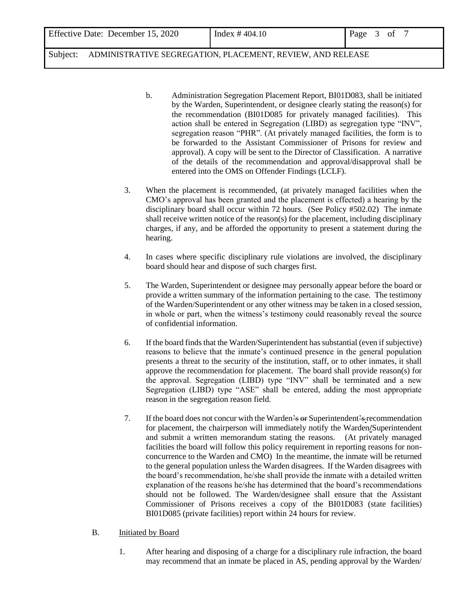- b. Administration Segregation Placement Report, BI01D083, shall be initiated by the Warden, Superintendent, or designee clearly stating the reason(s) for the recommendation (BI01D085 for privately managed facilities). This action shall be entered in Segregation (LIBD) as segregation type "INV", segregation reason "PHR". (At privately managed facilities, the form is to be forwarded to the Assistant Commissioner of Prisons for review and approval). A copy will be sent to the Director of Classification. A narrative of the details of the recommendation and approval/disapproval shall be entered into the OMS on Offender Findings (LCLF).
- 3. When the placement is recommended, (at privately managed facilities when the CMO's approval has been granted and the placement is effected) a hearing by the disciplinary board shall occur within 72 hours. (See Policy #502.02) The inmate shall receive written notice of the reason(s) for the placement, including disciplinary charges, if any, and be afforded the opportunity to present a statement during the hearing.
- 4. In cases where specific disciplinary rule violations are involved, the disciplinary board should hear and dispose of such charges first.
- 5. The Warden, Superintendent or designee may personally appear before the board or provide a written summary of the information pertaining to the case. The testimony of the Warden/Superintendent or any other witness may be taken in a closed session, in whole or part, when the witness's testimony could reasonably reveal the source of confidential information.
- 6. If the board finds that the Warden/Superintendent has substantial (even if subjective) reasons to believe that the inmate's continued presence in the general population presents a threat to the security of the institution, staff, or to other inmates, it shall approve the recommendation for placement. The board shall provide reason(s) for the approval. Segregation (LIBD) type "INV" shall be terminated and a new Segregation (LIBD) type "ASE" shall be entered, adding the most appropriate reason in the segregation reason field.
- 7. If the board does not concur with the Warden's or Superintendent's recommendation for placement, the chairperson will immediately notify the Warden**/**Superintendent and submit a written memorandum stating the reasons. (At privately managed facilities the board will follow this policy requirement in reporting reasons for nonconcurrence to the Warden and CMO) In the meantime, the inmate will be returned to the general population unless the Warden disagrees. If the Warden disagrees with the board's recommendation, he/she shall provide the inmate with a detailed written explanation of the reasons he/she has determined that the board's recommendations should not be followed. The Warden/designee shall ensure that the Assistant Commissioner of Prisons receives a copy of the BI01D083 (state facilities) BI01D085 (private facilities) report within 24 hours for review.

## B. Initiated by Board

1. After hearing and disposing of a charge for a disciplinary rule infraction, the board may recommend that an inmate be placed in AS, pending approval by the Warden/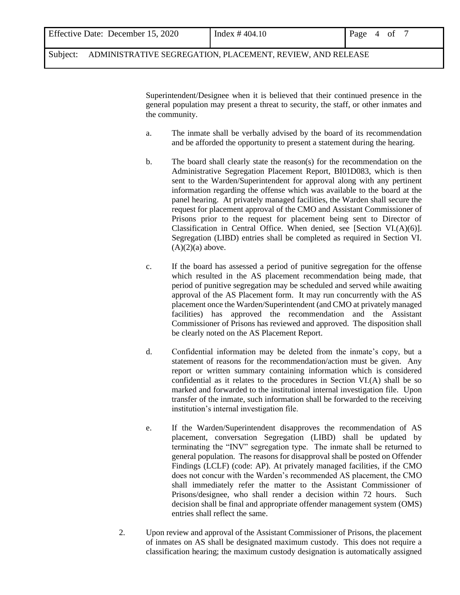| Effective Date: December 15, 2020 | Index $\#$ 404.10 | Page 4 of |
|-----------------------------------|-------------------|-----------|
|                                   |                   |           |

Superintendent/Designee when it is believed that their continued presence in the general population may present a threat to security, the staff, or other inmates and the community.

- a. The inmate shall be verbally advised by the board of its recommendation and be afforded the opportunity to present a statement during the hearing.
- b. The board shall clearly state the reason(s) for the recommendation on the Administrative Segregation Placement Report, BI01D083, which is then sent to the Warden/Superintendent for approval along with any pertinent information regarding the offense which was available to the board at the panel hearing. At privately managed facilities, the Warden shall secure the request for placement approval of the CMO and Assistant Commissioner of Prisons prior to the request for placement being sent to Director of Classification in Central Office. When denied, see [Section VI.(A)(6)]. Segregation (LIBD) entries shall be completed as required in Section VI.  $(A)(2)(a)$  above.
- c. If the board has assessed a period of punitive segregation for the offense which resulted in the AS placement recommendation being made, that period of punitive segregation may be scheduled and served while awaiting approval of the AS Placement form. It may run concurrently with the AS placement once the Warden/Superintendent (and CMO at privately managed facilities) has approved the recommendation and the Assistant Commissioner of Prisons has reviewed and approved. The disposition shall be clearly noted on the AS Placement Report.
- d. Confidential information may be deleted from the inmate's copy, but a statement of reasons for the recommendation/action must be given. Any report or written summary containing information which is considered confidential as it relates to the procedures in Section VI.(A) shall be so marked and forwarded to the institutional internal investigation file. Upon transfer of the inmate, such information shall be forwarded to the receiving institution's internal investigation file.
- e. If the Warden/Superintendent disapproves the recommendation of AS placement, conversation Segregation (LIBD) shall be updated by terminating the "INV" segregation type. The inmate shall be returned to general population. The reasons for disapproval shall be posted on Offender Findings (LCLF) (code: AP). At privately managed facilities, if the CMO does not concur with the Warden's recommended AS placement, the CMO shall immediately refer the matter to the Assistant Commissioner of Prisons/designee, who shall render a decision within 72 hours. Such decision shall be final and appropriate offender management system (OMS) entries shall reflect the same.
- 2. Upon review and approval of the Assistant Commissioner of Prisons, the placement of inmates on AS shall be designated maximum custody. This does not require a classification hearing; the maximum custody designation is automatically assigned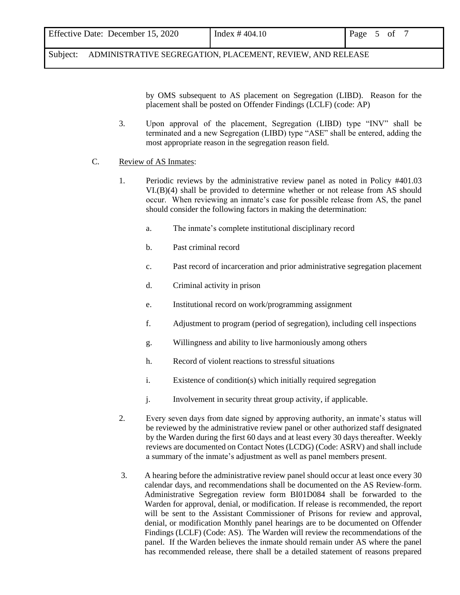by OMS subsequent to AS placement on Segregation (LIBD). Reason for the placement shall be posted on Offender Findings (LCLF) (code: AP)

3. Upon approval of the placement, Segregation (LIBD) type "INV" shall be terminated and a new Segregation (LIBD) type "ASE" shall be entered, adding the most appropriate reason in the segregation reason field.

## C. Review of AS Inmates:

- 1. Periodic reviews by the administrative review panel as noted in Policy #401.03 VI.(B)(4) shall be provided to determine whether or not release from AS should occur. When reviewing an inmate's case for possible release from AS, the panel should consider the following factors in making the determination:
	- a. The inmate's complete institutional disciplinary record
	- b. Past criminal record
	- c. Past record of incarceration and prior administrative segregation placement
	- d. Criminal activity in prison
	- e. Institutional record on work/programming assignment
	- f. Adjustment to program (period of segregation), including cell inspections
	- g. Willingness and ability to live harmoniously among others
	- h. Record of violent reactions to stressful situations
	- i. Existence of condition(s) which initially required segregation
	- j. Involvement in security threat group activity, if applicable.
- 2. Every seven days from date signed by approving authority, an inmate's status will be reviewed by the administrative review panel or other authorized staff designated by the Warden during the first 60 days and at least every 30 days thereafter. Weekly reviews are documented on Contact Notes (LCDG) (Code: ASRV) and shall include a summary of the inmate's adjustment as well as panel members present.
- 3. A hearing before the administrative review panel should occur at least once every 30 calendar days, and recommendations shall be documented on the AS Review form. Administrative Segregation review form BI01D084 shall be forwarded to the Warden for approval, denial, or modification. If release is recommended, the report will be sent to the Assistant Commissioner of Prisons for review and approval, denial, or modification Monthly panel hearings are to be documented on Offender Findings (LCLF) (Code: AS). The Warden will review the recommendations of the panel. If the Warden believes the inmate should remain under AS where the panel has recommended release, there shall be a detailed statement of reasons prepared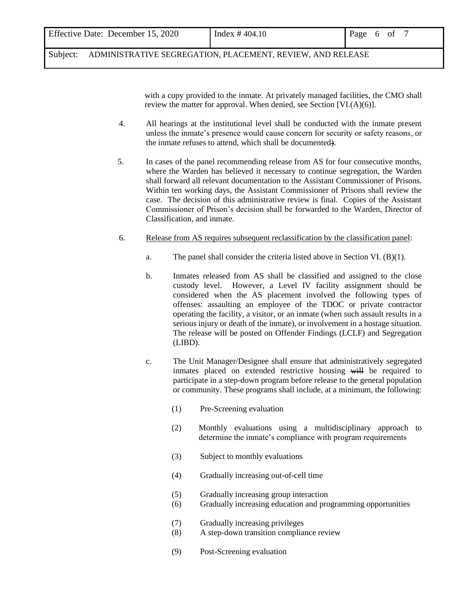| Effective Date: December 15, 2020 | Index # $404.10$ | Page 6 of |  |  |
|-----------------------------------|------------------|-----------|--|--|
|                                   |                  |           |  |  |

with a copy provided to the inmate. At privately managed facilities, the CMO shall review the matter for approval. When denied, see Section [VI.(A)(6)].

- 4. All hearings at the institutional level shall be conducted with the inmate present unless the inmate's presence would cause concern for security or safety reasons, or the inmate refuses to attend, which shall be documented).
- 5. In cases of the panel recommending release from AS for four consecutive months, where the Warden has believed it necessary to continue segregation, the Warden shall forward all relevant documentation to the Assistant Commissioner of Prisons. Within ten working days, the Assistant Commissioner of Prisons shall review the case. The decision of this administrative review is final. Copies of the Assistant Commissioner of Prison's decision shall be forwarded to the Warden, Director of Classification, and inmate.
- 6. Release from AS requires subsequent reclassification by the classification panel:
	- a. The panel shall consider the criteria listed above in Section VI. (B)(1).
	- b. Inmates released from AS shall be classified and assigned to the close custody level. However, a Level IV facility assignment should be considered when the AS placement involved the following types of offenses: assaulting an employee of the TDOC or private contractor operating the facility, a visitor, or an inmate (when such assault results in a serious injury or death of the inmate), or involvement in a hostage situation. The release will be posted on Offender Findings (LCLF) and Segregation (LIBD).
	- c. The Unit Manager/Designee shall ensure that administratively segregated inmates placed on extended restrictive housing will be required to participate in a step-down program before release to the general population or community. These programs shall include, at a minimum, the following:
		- (1) Pre-Screening evaluation
		- (2) Monthly evaluations using a multidisciplinary approach to determine the inmate's compliance with program requirements
		- (3) Subject to monthly evaluations
		- (4) Gradually increasing out-of-cell time
		- (5) Gradually increasing group interaction
		- (6) Gradually increasing education and programming opportunities
		- (7) Gradually increasing privileges
		- (8) A step-down transition compliance review
		- (9) Post-Screening evaluation